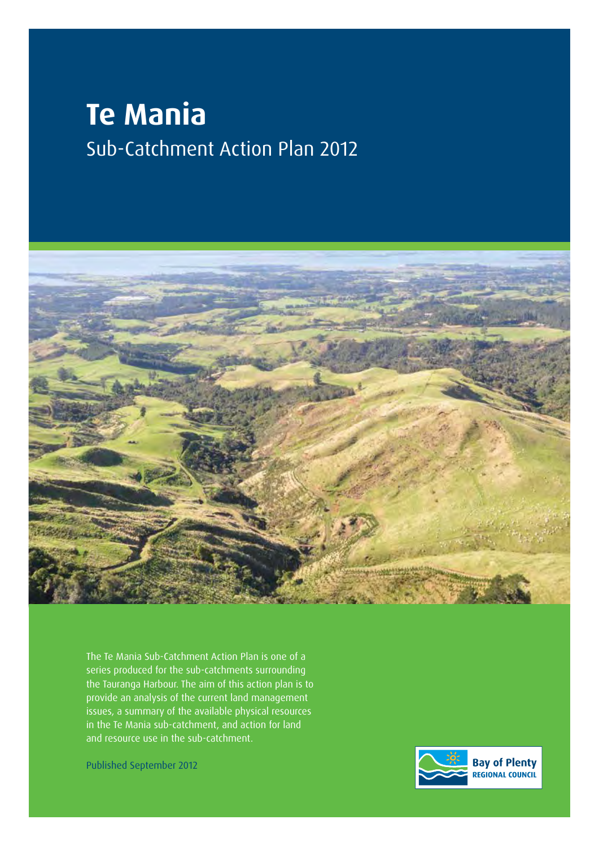# **Te Mania** Sub-Catchment Action Plan 2012



The Te Mania Sub-Catchment Action Plan is one of a series produced for the sub-catchments surrounding the Tauranga Harbour. The aim of this action plan is to provide an analysis of the current land management issues, a summary of the available physical resources in the Te Mania sub-catchment, and action for land and resource use in the sub-catchment.

Published September 2012

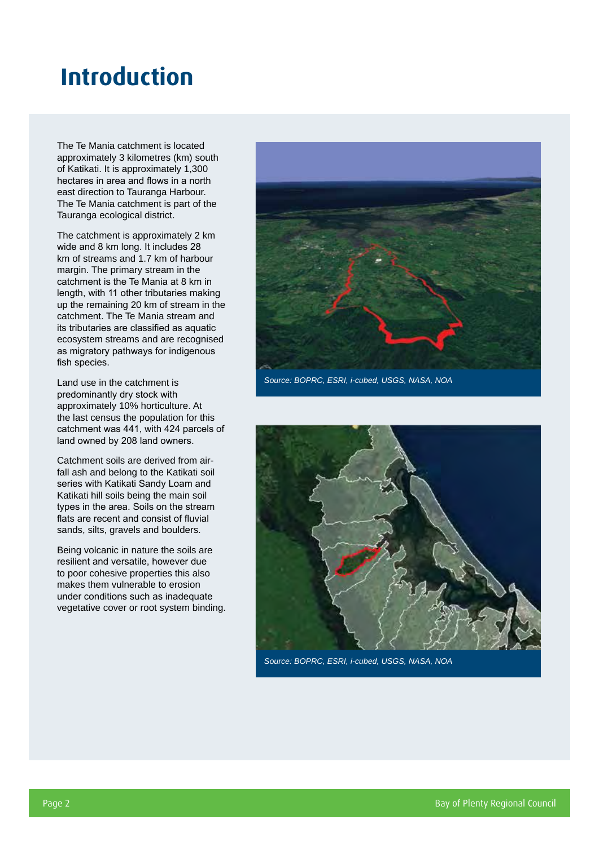### **Introduction**

The Te Mania catchment is located approximately 3 kilometres (km) south of Katikati. It is approximately 1,300 hectares in area and flows in a north east direction to Tauranga Harbour. The Te Mania catchment is part of the Tauranga ecological district.

The catchment is approximately 2 km wide and 8 km long. It includes 28 km of streams and 1.7 km of harbour margin. The primary stream in the catchment is the Te Mania at 8 km in length, with 11 other tributaries making up the remaining 20 km of stream in the catchment. The Te Mania stream and its tributaries are classified as aquatic ecosystem streams and are recognised as migratory pathways for indigenous fish species.

Land use in the catchment is predominantly dry stock with approximately 10% horticulture. At the last census the population for this catchment was 441, with 424 parcels of land owned by 208 land owners.

Catchment soils are derived from airfall ash and belong to the Katikati soil series with Katikati Sandy Loam and Katikati hill soils being the main soil types in the area. Soils on the stream flats are recent and consist of fluvial sands, silts, gravels and boulders.

Being volcanic in nature the soils are resilient and versatile, however due to poor cohesive properties this also makes them vulnerable to erosion under conditions such as inadequate vegetative cover or root system binding.



*Source: BOPRC, ESRI, i-cubed, USGS, NASA, NOA*



*Source: BOPRC, ESRI, i-cubed, USGS, NASA, NOA*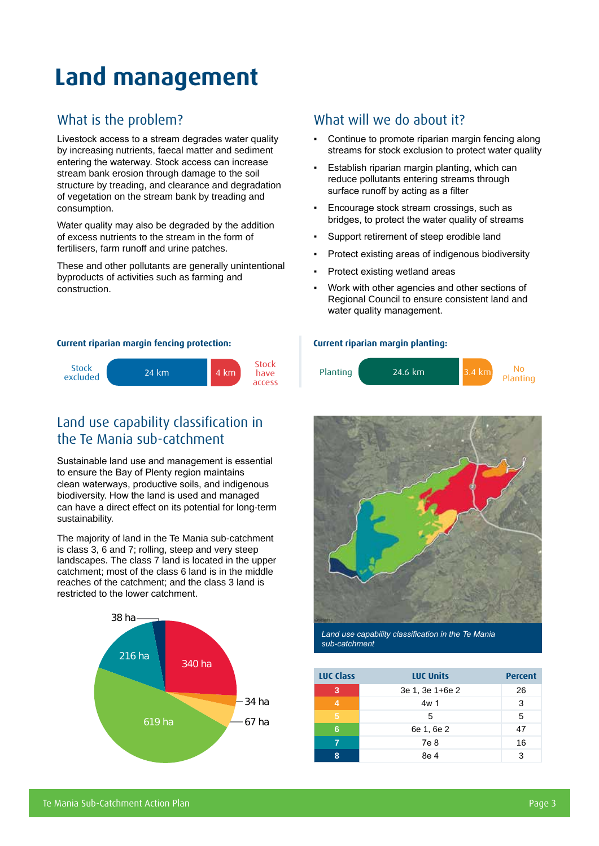# **Land management**

#### What is the problem?

Livestock access to a stream degrades water quality by increasing nutrients, faecal matter and sediment entering the waterway. Stock access can increase stream bank erosion through damage to the soil structure by treading, and clearance and degradation of vegetation on the stream bank by treading and consumption.

Water quality may also be degraded by the addition of excess nutrients to the stream in the form of fertilisers, farm runoff and urine patches.

These and other pollutants are generally unintentional byproducts of activities such as farming and construction.

#### **Current riparian margin fencing protection: Current riparian margin planting:**



#### Land use capability classification in the Te Mania sub-catchment

Sustainable land use and management is essential to ensure the Bay of Plenty region maintains clean waterways, productive soils, and indigenous biodiversity. How the land is used and managed can have a direct effect on its potential for long-term sustainability.

The majority of land in the Te Mania sub-catchment is class 3, 6 and 7; rolling, steep and very steep landscapes. The class 7 land is located in the upper catchment; most of the class 6 land is in the middle reaches of the catchment; and the class 3 land is restricted to the lower catchment.



#### What will we do about it?

- Continue to promote riparian margin fencing along streams for stock exclusion to protect water quality
- Establish riparian margin planting, which can reduce pollutants entering streams through surface runoff by acting as a filter
- Encourage stock stream crossings, such as bridges, to protect the water quality of streams
- Support retirement of steep erodible land
- Protect existing areas of indigenous biodiversity
- Protect existing wetland areas
- Work with other agencies and other sections of Regional Council to ensure consistent land and water quality management.





*Land use capability classification in the Te Mania sub-catchment*

| <b>LUC Class</b> | <b>LUC Units</b> | <b>Percent</b> |
|------------------|------------------|----------------|
| 3                | 3e 1, 3e 1+6e 2  | 26             |
| 4                | 4w 1             | 3              |
| 5                | 5                | 5              |
| 6                | 6e 1, 6e 2       | 47             |
|                  | 7e 8             | 16             |
| Ω                | 8e 4             | 3              |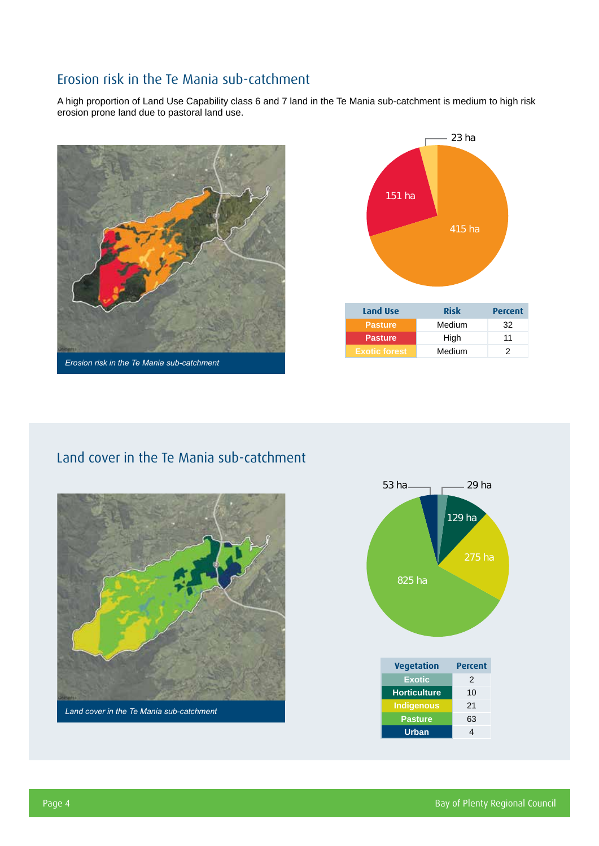#### Erosion risk in the Te Mania sub-catchment

A high proportion of Land Use Capability class 6 and 7 land in the Te Mania sub-catchment is medium to high risk erosion prone land due to pastoral land use.





#### Land cover in the Te Mania sub-catchment



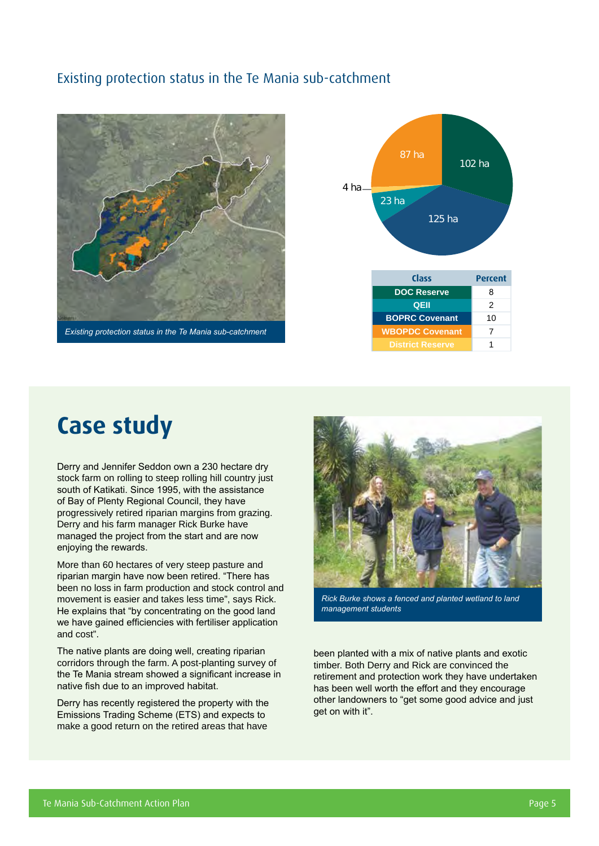#### Existing protection status in the Te Mania sub-catchment





### **Case study**

Derry and Jennifer Seddon own a 230 hectare dry stock farm on rolling to steep rolling hill country just south of Katikati. Since 1995, with the assistance of Bay of Plenty Regional Council, they have progressively retired riparian margins from grazing. Derry and his farm manager Rick Burke have managed the project from the start and are now enjoying the rewards.

More than 60 hectares of very steep pasture and riparian margin have now been retired. "There has been no loss in farm production and stock control and movement is easier and takes less time", says Rick. He explains that "by concentrating on the good land we have gained efficiencies with fertiliser application and cost".

The native plants are doing well, creating riparian corridors through the farm. A post-planting survey of the Te Mania stream showed a significant increase in native fish due to an improved habitat.

Derry has recently registered the property with the Emissions Trading Scheme (ETS) and expects to make a good return on the retired areas that have



*Rick Burke shows a fenced and planted wetland to land management students*

been planted with a mix of native plants and exotic timber. Both Derry and Rick are convinced the retirement and protection work they have undertaken has been well worth the effort and they encourage other landowners to "get some good advice and just get on with it".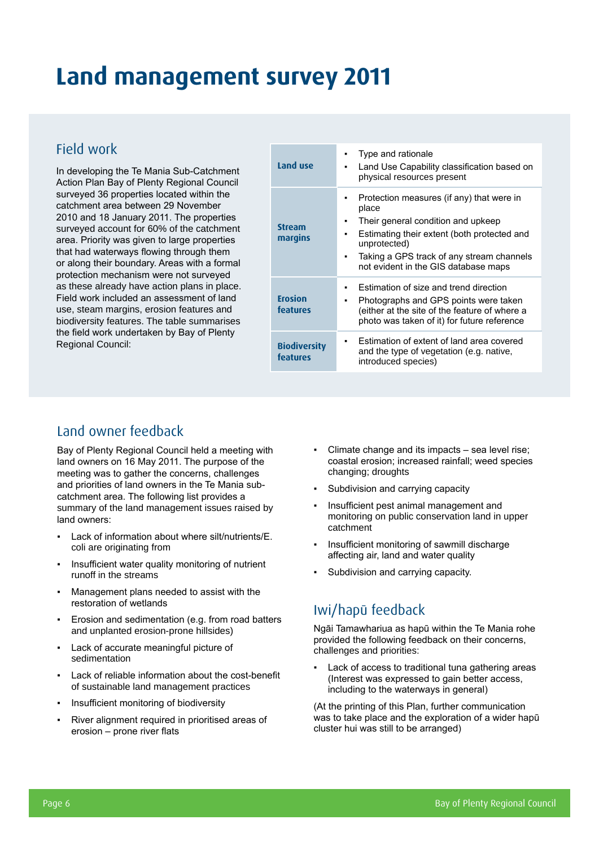## **Land management survey 2011**

#### Field work

In developing the Te Mania Sub-Catchment Action Plan Bay of Plenty Regional Council surveyed 36 properties located within the catchment area between 29 November 2010 and 18 January 2011. The properties surveyed account for 60% of the catchment area. Priority was given to large properties that had waterways flowing through them or along their boundary. Areas with a formal protection mechanism were not surveyed as these already have action plans in place. Field work included an assessment of land use, steam margins, erosion features and biodiversity features. The table summarises the field work undertaken by Bay of Plenty Regional Council:

| Land use                        | Type and rationale<br>Land Use Capability classification based on<br>physical resources present                                                                                                                                              |
|---------------------------------|----------------------------------------------------------------------------------------------------------------------------------------------------------------------------------------------------------------------------------------------|
| <b>Stream</b><br>margins        | Protection measures (if any) that were in<br>place<br>Their general condition and upkeep<br>Estimating their extent (both protected and<br>unprotected)<br>Taking a GPS track of any stream channels<br>not evident in the GIS database maps |
| <b>Erosion</b><br>features      | Estimation of size and trend direction<br>Photographs and GPS points were taken<br>(either at the site of the feature of where a<br>photo was taken of it) for future reference                                                              |
| <b>Biodiversity</b><br>features | Estimation of extent of land area covered<br>and the type of vegetation (e.g. native,<br>introduced species)                                                                                                                                 |

#### Land owner feedback

Bay of Plenty Regional Council held a meeting with land owners on 16 May 2011. The purpose of the meeting was to gather the concerns, challenges and priorities of land owners in the Te Mania subcatchment area. The following list provides a summary of the land management issues raised by land owners:

- Lack of information about where silt/nutrients/E. coli are originating from
- Insufficient water quality monitoring of nutrient runoff in the streams
- Management plans needed to assist with the restoration of wetlands
- Erosion and sedimentation (e.g. from road batters and unplanted erosion-prone hillsides)
- Lack of accurate meaningful picture of sedimentation
- Lack of reliable information about the cost-benefit of sustainable land management practices
- Insufficient monitoring of biodiversity
- River alignment required in prioritised areas of erosion – prone river flats
- Climate change and its impacts  $-$  sea level rise; coastal erosion; increased rainfall; weed species changing; droughts
- Subdivision and carrying capacity
- Insufficient pest animal management and monitoring on public conservation land in upper catchment
- Insufficient monitoring of sawmill discharge affecting air, land and water quality
- Subdivision and carrying capacity.

#### Iwi/hapū feedback

Ngāi Tamawhariua as hapū within the Te Mania rohe provided the following feedback on their concerns, challenges and priorities:

Lack of access to traditional tuna gathering areas (Interest was expressed to gain better access, including to the waterways in general)

(At the printing of this Plan, further communication was to take place and the exploration of a wider hapū cluster hui was still to be arranged)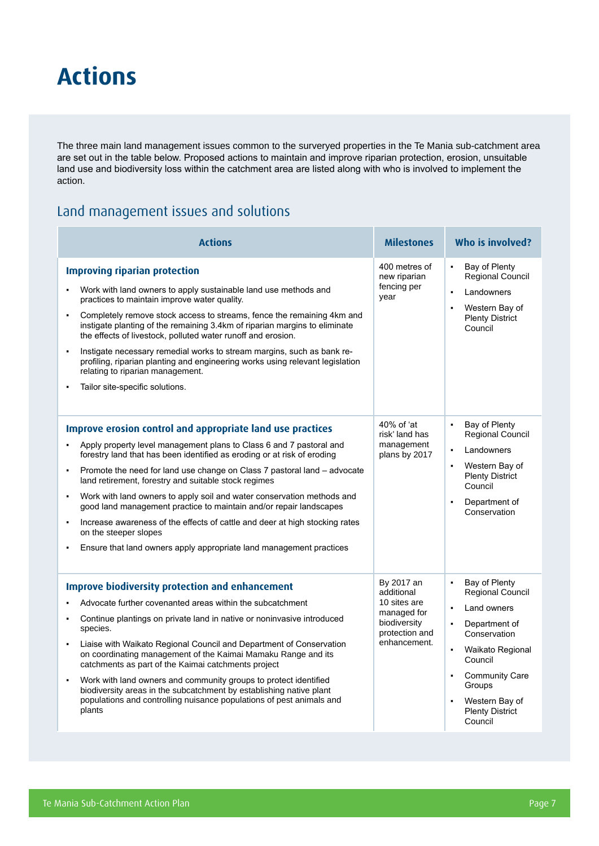### **Actions**

The three main land management issues common to the surveryed properties in the Te Mania sub-catchment area are set out in the table below. Proposed actions to maintain and improve riparian protection, erosion, unsuitable land use and biodiversity loss within the catchment area are listed along with who is involved to implement the action.

#### Land management issues and solutions

| <b>Actions</b>                                                                                                                                                                                                                                                                                                                                                                                                                                                                                                                                                                                                                                                                                                                                          | <b>Milestones</b>                                                                                         | Who is involved?                                                                                                                                                                                                                                                                                                       |  |  |
|---------------------------------------------------------------------------------------------------------------------------------------------------------------------------------------------------------------------------------------------------------------------------------------------------------------------------------------------------------------------------------------------------------------------------------------------------------------------------------------------------------------------------------------------------------------------------------------------------------------------------------------------------------------------------------------------------------------------------------------------------------|-----------------------------------------------------------------------------------------------------------|------------------------------------------------------------------------------------------------------------------------------------------------------------------------------------------------------------------------------------------------------------------------------------------------------------------------|--|--|
| <b>Improving riparian protection</b><br>Work with land owners to apply sustainable land use methods and<br>practices to maintain improve water quality.<br>Completely remove stock access to streams, fence the remaining 4km and<br>$\blacksquare$<br>instigate planting of the remaining 3.4km of riparian margins to eliminate<br>the effects of livestock, polluted water runoff and erosion.<br>Instigate necessary remedial works to stream margins, such as bank re-<br>$\blacksquare$<br>profiling, riparian planting and engineering works using relevant legislation<br>relating to riparian management.<br>Tailor site-specific solutions.<br>$\blacksquare$                                                                                 | 400 metres of<br>new riparian<br>fencing per<br>year                                                      | Bay of Plenty<br>$\bullet$<br>Regional Council<br>Landowners<br>$\blacksquare$<br>Western Bay of<br>$\blacksquare$<br><b>Plenty District</b><br>Council                                                                                                                                                                |  |  |
| Improve erosion control and appropriate land use practices<br>Apply property level management plans to Class 6 and 7 pastoral and<br>forestry land that has been identified as eroding or at risk of eroding<br>Promote the need for land use change on Class 7 pastoral land - advocate<br>$\blacksquare$<br>land retirement, forestry and suitable stock regimes<br>Work with land owners to apply soil and water conservation methods and<br>$\blacksquare$<br>good land management practice to maintain and/or repair landscapes<br>Increase awareness of the effects of cattle and deer at high stocking rates<br>$\blacksquare$<br>on the steeper slopes<br>Ensure that land owners apply appropriate land management practices<br>$\blacksquare$ | 40% of 'at<br>risk' land has<br>management<br>plans by 2017                                               | Bay of Plenty<br>Regional Council<br>Landowners<br>$\blacksquare$<br>Western Bay of<br><b>Plenty District</b><br>Council<br>Department of<br>$\blacksquare$<br>Conservation                                                                                                                                            |  |  |
| <b>Improve biodiversity protection and enhancement</b><br>Advocate further covenanted areas within the subcatchment<br>Continue plantings on private land in native or noninvasive introduced<br>$\blacksquare$<br>species.<br>Liaise with Waikato Regional Council and Department of Conservation<br>$\bullet$<br>on coordinating management of the Kaimai Mamaku Range and its<br>catchments as part of the Kaimai catchments project<br>Work with land owners and community groups to protect identified<br>$\blacksquare$<br>biodiversity areas in the subcatchment by establishing native plant<br>populations and controlling nuisance populations of pest animals and<br>plants                                                                  | By 2017 an<br>additional<br>10 sites are<br>managed for<br>biodiversity<br>protection and<br>enhancement. | Bay of Plenty<br>$\blacksquare$<br>Regional Council<br>Land owners<br>$\blacksquare$<br>Department of<br>$\blacksquare$<br>Conservation<br>Waikato Regional<br>$\blacksquare$<br>Council<br><b>Community Care</b><br>$\blacksquare$<br>Groups<br>Western Bay of<br>$\blacksquare$<br><b>Plenty District</b><br>Council |  |  |